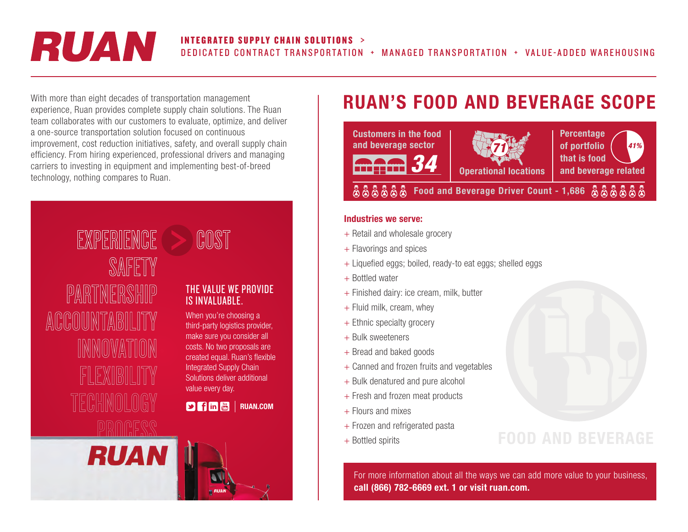# RUAN

## INTEGRATED SUPPLY CHAIN SOLUTIONS >

DEDICATED CONTRACT TRANSPORTATION + MANAGED TRANSPORTATION + VALUE-ADDED WAREHOUSING

With more than eight decades of transportation management experience, Ruan provides complete supply chain solutions. The Ruan team collaborates with our customers to evaluate, optimize, and deliver a one-source transportation solution focused on continuous improvement, cost reduction initiatives, safety, and overall supply chain efficiency. From hiring experienced, professional drivers and managing carriers to investing in equipment and implementing best-of-breed technology, nothing compares to Ruan.



## COST

### THE VALUE WE PROVIDE IS INVALUABLE.

When you're choosing a third-party logistics provider, make sure you consider all costs. No two proposals are created equal. Ruan's flexible Integrated Supply Chain Solutions deliver additional value every day.

**P** in **a** RUAN.COM

## RUAN'S FOOD AND BEVERAGE SCOPE



#### Industries we serve:

- + Retail and wholesale grocery
- + Flavorings and spices
- + Liquefied eggs; boiled, ready-to eat eggs; shelled eggs
- + Bottled water
- + Finished dairy: ice cream, milk, butter
- + Fluid milk, cream, whey
- + Ethnic specialty grocery
- + Bulk sweeteners
- + Bread and baked goods
- + Canned and frozen fruits and vegetables
- + Bulk denatured and pure alcohol
- + Fresh and frozen meat products
- $+$  Flours and mixes
- + Frozen and refrigerated pasta
- + Bottled spirits

For more information about all the ways we can add more value to your business, call (866) 782-6669 ext. 1 or visit ruan.com.

FOOD AND BEVERAGE